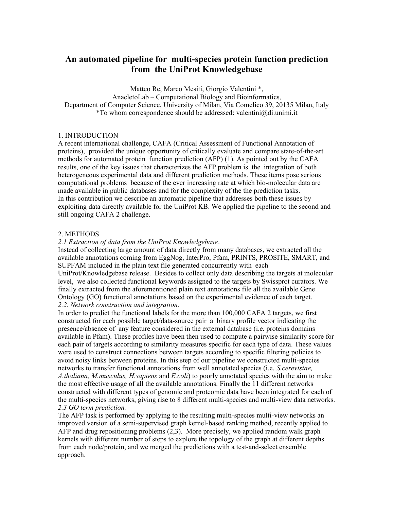# **An automated pipeline for multi-species protein function prediction from the UniProt Knowledgebase**

Matteo Re, Marco Mesiti, Giorgio Valentini \*, AnacletoLab – Computational Biology and Bioinformatics, Department of Computer Science, University of Milan, Via Comelico 39, 20135 Milan, Italy \*To whom correspondence should be addressed: valentini $@$ di.unimi.it

# 1. INTRODUCTION

A recent international challenge, CAFA (Critical Assessment of Functional Annotation of proteins), provided the unique opportunity of critically evaluate and compare state-of-the-art methods for automated protein function prediction (AFP) (1). As pointed out by the CAFA results, one of the key issues that characterizes the AFP problem is the integration of both heterogeneous experimental data and different prediction methods. These items pose serious computational problems because of the ever increasing rate at which bio-molecular data are made available in public databases and for the complexity of the the prediction tasks. In this contribution we describe an automatic pipeline that addresses both these issues by exploiting data directly available for the UniProt KB. We applied the pipeline to the second and still ongoing CAFA 2 challenge.

### 2. METHODS

*2.1 Extraction of data from the UniProt Knowledgebase*.

Instead of collecting large amount of data directly from many databases, we extracted all the available annotations coming from EggNog, InterPro, Pfam, PRINTS, PROSITE, SMART, and SUPFAM included in the plain text file generated concurrently with each UniProt/Knowledgebase release. Besides to collect only data describing the targets at molecular level, we also collected functional keywords assigned to the targets by Swissprot curators. We finally extracted from the aforementioned plain text annotations file all the available Gene Ontology (GO) functional annotations based on the experimental evidence of each target. *2.2. Network construction and integration*.

In order to predict the functional labels for the more than 100,000 CAFA 2 targets, we first constructed for each possible target/data-source pair a binary profile vector indicating the presence/absence of any feature considered in the external database (i.e. proteins domains available in Pfam). These profiles have been then used to compute a pairwise similarity score for each pair of targets according to similarity measures specific for each type of data. These values were used to construct connections between targets according to specific filtering policies to avoid noisy links between proteins. In this step of our pipeline we constructed multi-species networks to transfer functional annotations from well annotated species (i.e. *S.cerevisiae, A.thaliana, M.musculus, H.sapiens* and *E.coli*) to poorly annotated species with the aim to make the most effective usage of all the available annotations. Finally the 11 different networks constructed with different types of genomic and proteomic data have been integrated for each of the multi-species networks, giving rise to 8 different multi-species and multi-view data networks. *2.3 GO term prediction.*

The AFP task is performed by applying to the resulting multi-species multi-view networks an improved version of a semi-supervised graph kernel-based ranking method, recently applied to AFP and drug repositioning problems (2,3). More precisely, we applied random walk graph kernels with different number of steps to explore the topology of the graph at different depths from each node/protein, and we merged the predictions with a test-and-select ensemble approach.